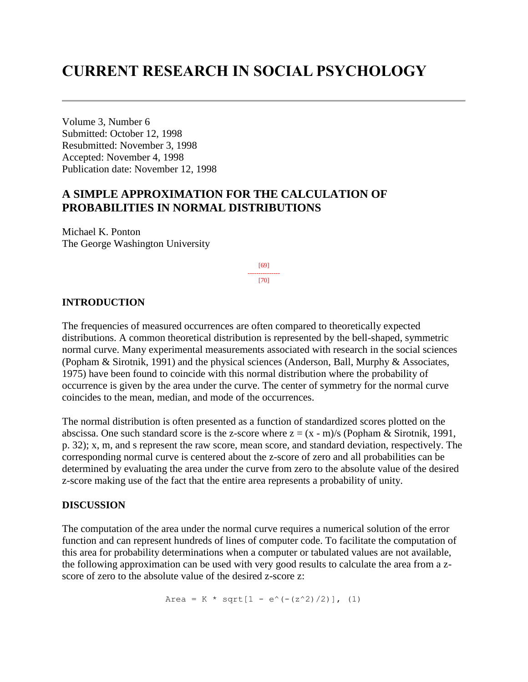# **CURRENT RESEARCH IN SOCIAL PSYCHOLOGY**

Volume 3, Number 6 Submitted: October 12, 1998 Resubmitted: November 3, 1998 Accepted: November 4, 1998 Publication date: November 12, 1998

# **A SIMPLE APPROXIMATION FOR THE CALCULATION OF PROBABILITIES IN NORMAL DISTRIBUTIONS**

Michael K. Ponton The George Washington University

> [69] --------------- [70]

## **INTRODUCTION**

The frequencies of measured occurrences are often compared to theoretically expected distributions. A common theoretical distribution is represented by the bell-shaped, symmetric normal curve. Many experimental measurements associated with research in the social sciences (Popham & Sirotnik, 1991) and the physical sciences (Anderson, Ball, Murphy & Associates, 1975) have been found to coincide with this normal distribution where the probability of occurrence is given by the area under the curve. The center of symmetry for the normal curve coincides to the mean, median, and mode of the occurrences.

The normal distribution is often presented as a function of standardized scores plotted on the abscissa. One such standard score is the z-score where  $z = (x - m)/s$  (Popham & Sirotnik, 1991, p. 32); x, m, and s represent the raw score, mean score, and standard deviation, respectively. The corresponding normal curve is centered about the z-score of zero and all probabilities can be determined by evaluating the area under the curve from zero to the absolute value of the desired z-score making use of the fact that the entire area represents a probability of unity.

#### **DISCUSSION**

The computation of the area under the normal curve requires a numerical solution of the error function and can represent hundreds of lines of computer code. To facilitate the computation of this area for probability determinations when a computer or tabulated values are not available, the following approximation can be used with very good results to calculate the area from a zscore of zero to the absolute value of the desired z-score z:

Area = K \* sqrt[1 - e^(-(z^2)/2)], (1)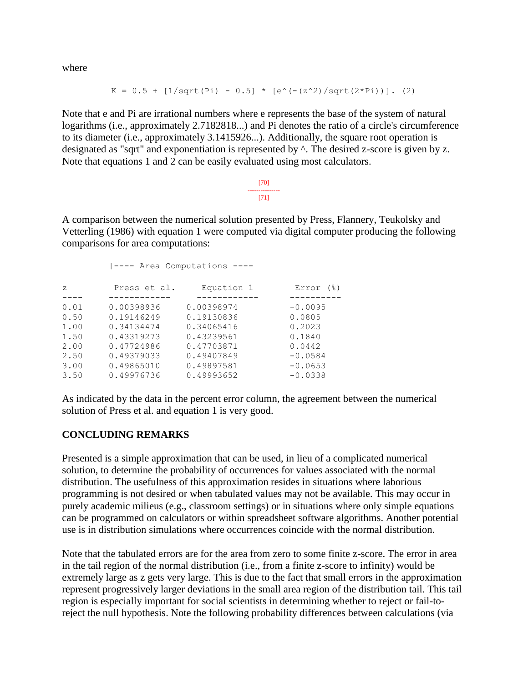where

$$
K = 0.5 + [1/sqrt(Pi) - 0.5] * [e^{(- (z^2)/sqrt(2 *Pi))}].
$$
 (2)

Note that e and Pi are irrational numbers where e represents the base of the system of natural logarithms (i.e., approximately 2.7182818...) and Pi denotes the ratio of a circle's circumference to its diameter (i.e., approximately 3.1415926...). Additionally, the square root operation is designated as "sqrt" and exponentiation is represented by ^. The desired z-score is given by z. Note that equations 1 and 2 can be easily evaluated using most calculators.

> [70] --------------- [71]

A comparison between the numerical solution presented by Press, Flannery, Teukolsky and Vetterling (1986) with equation 1 were computed via digital computer producing the following comparisons for area computations:

| $ ---$ Area Computations ---- |  |  |  |
|-------------------------------|--|--|--|
| Error<br>$($ $\mathcal{E})$   |  |  |  |
|                               |  |  |  |
| $-0.0095$                     |  |  |  |
| 0.0805                        |  |  |  |
| 0.2023                        |  |  |  |
| 0.1840                        |  |  |  |
| 0.0442                        |  |  |  |
| $-0.0584$                     |  |  |  |
| $-0.0653$                     |  |  |  |
| $-0.0338$                     |  |  |  |
|                               |  |  |  |

As indicated by the data in the percent error column, the agreement between the numerical solution of Press et al. and equation 1 is very good.

# **CONCLUDING REMARKS**

Presented is a simple approximation that can be used, in lieu of a complicated numerical solution, to determine the probability of occurrences for values associated with the normal distribution. The usefulness of this approximation resides in situations where laborious programming is not desired or when tabulated values may not be available. This may occur in purely academic milieus (e.g., classroom settings) or in situations where only simple equations can be programmed on calculators or within spreadsheet software algorithms. Another potential use is in distribution simulations where occurrences coincide with the normal distribution.

Note that the tabulated errors are for the area from zero to some finite z-score. The error in area in the tail region of the normal distribution (i.e., from a finite z-score to infinity) would be extremely large as z gets very large. This is due to the fact that small errors in the approximation represent progressively larger deviations in the small area region of the distribution tail. This tail region is especially important for social scientists in determining whether to reject or fail-toreject the null hypothesis. Note the following probability differences between calculations (via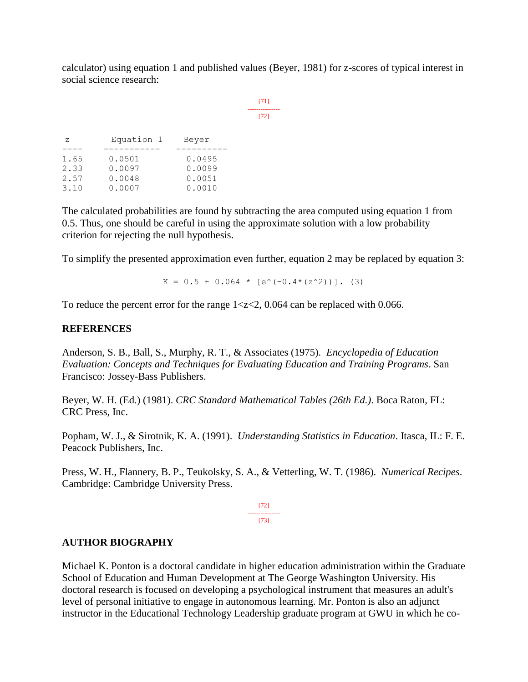calculator) using equation 1 and published values (Beyer, 1981) for z-scores of typical interest in social science research:

> [71] --------------- [72]

| Z    | Equation 1 | Beyer  |
|------|------------|--------|
|      |            |        |
| 1.65 | 0.0501     | 0.0495 |
| 2.33 | 0.0097     | 0.0099 |
| 2.57 | 0.0048     | 0.0051 |
| 3.10 | 0.0007     | 0.0010 |

The calculated probabilities are found by subtracting the area computed using equation 1 from 0.5. Thus, one should be careful in using the approximate solution with a low probability criterion for rejecting the null hypothesis.

To simplify the presented approximation even further, equation 2 may be replaced by equation 3:

 $K = 0.5 + 0.064 * [e^{\lambda}(-0.4*(z^2))]$ . (3)

To reduce the percent error for the range  $1 \lt z \lt 2$ , 0.064 can be replaced with 0.066.

## **REFERENCES**

Anderson, S. B., Ball, S., Murphy, R. T., & Associates (1975). *Encyclopedia of Education Evaluation: Concepts and Techniques for Evaluating Education and Training Programs*. San Francisco: Jossey-Bass Publishers.

Beyer, W. H. (Ed.) (1981). *CRC Standard Mathematical Tables (26th Ed.)*. Boca Raton, FL: CRC Press, Inc.

Popham, W. J., & Sirotnik, K. A. (1991). *Understanding Statistics in Education*. Itasca, IL: F. E. Peacock Publishers, Inc.

Press, W. H., Flannery, B. P., Teukolsky, S. A., & Vetterling, W. T. (1986). *Numerical Recipes*. Cambridge: Cambridge University Press.

> [72] --------------- [73]

# **AUTHOR BIOGRAPHY**

Michael K. Ponton is a doctoral candidate in higher education administration within the Graduate School of Education and Human Development at The George Washington University. His doctoral research is focused on developing a psychological instrument that measures an adult's level of personal initiative to engage in autonomous learning. Mr. Ponton is also an adjunct instructor in the Educational Technology Leadership graduate program at GWU in which he co